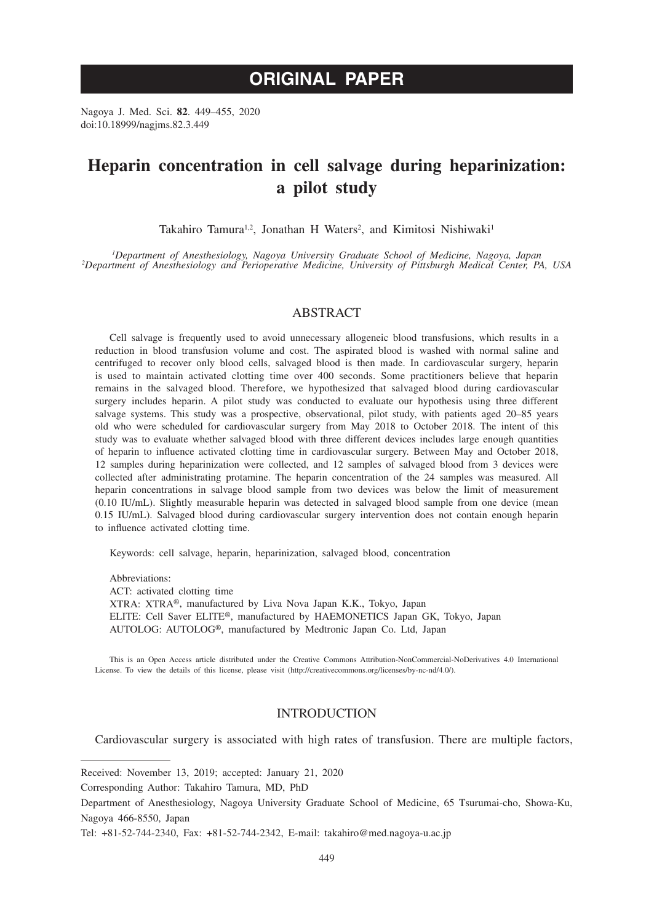# **ORIGINAL PAPER**

Nagoya J. Med. Sci. **82**. 449–455, 2020 doi:10.18999/nagjms.82.3.449

# **Heparin concentration in cell salvage during heparinization: a pilot study**

Takahiro Tamura<sup>1,2</sup>, Jonathan H Waters<sup>2</sup>, and Kimitosi Nishiwaki<sup>1</sup>

*1 Department of Anesthesiology, Nagoya University Graduate School of Medicine, Nagoya, Japan <sup>2</sup> Department of Anesthesiology and Perioperative Medicine, University of Pittsburgh Medical Center, PA, USA*

## ABSTRACT

Cell salvage is frequently used to avoid unnecessary allogeneic blood transfusions, which results in a reduction in blood transfusion volume and cost. The aspirated blood is washed with normal saline and centrifuged to recover only blood cells, salvaged blood is then made. In cardiovascular surgery, heparin is used to maintain activated clotting time over 400 seconds. Some practitioners believe that heparin remains in the salvaged blood. Therefore, we hypothesized that salvaged blood during cardiovascular surgery includes heparin. A pilot study was conducted to evaluate our hypothesis using three different salvage systems. This study was a prospective, observational, pilot study, with patients aged 20–85 years old who were scheduled for cardiovascular surgery from May 2018 to October 2018. The intent of this study was to evaluate whether salvaged blood with three different devices includes large enough quantities of heparin to influence activated clotting time in cardiovascular surgery. Between May and October 2018, 12 samples during heparinization were collected, and 12 samples of salvaged blood from 3 devices were collected after administrating protamine. The heparin concentration of the 24 samples was measured. All heparin concentrations in salvage blood sample from two devices was below the limit of measurement (0.10 IU/mL). Slightly measurable heparin was detected in salvaged blood sample from one device (mean 0.15 IU/mL). Salvaged blood during cardiovascular surgery intervention does not contain enough heparin to influence activated clotting time.

Keywords: cell salvage, heparin, heparinization, salvaged blood, concentration

Abbreviations: ACT: activated clotting time XTRA: XTRA®, manufactured by Liva Nova Japan K.K., Tokyo, Japan ELITE: Cell Saver ELITE®, manufactured by HAEMONETICS Japan GK, Tokyo, Japan AUTOLOG: AUTOLOG®, manufactured by Medtronic Japan Co. Ltd, Japan

This is an Open Access article distributed under the Creative Commons Attribution-NonCommercial-NoDerivatives 4.0 International License. To view the details of this license, please visit (http://creativecommons.org/licenses/by-nc-nd/4.0/).

# INTRODUCTION

Cardiovascular surgery is associated with high rates of transfusion. There are multiple factors,

Received: November 13, 2019; accepted: January 21, 2020

Corresponding Author: Takahiro Tamura, MD, PhD

Department of Anesthesiology, Nagoya University Graduate School of Medicine, 65 Tsurumai-cho, Showa-Ku, Nagoya 466-8550, Japan

Tel: +81-52-744-2340, Fax: +81-52-744-2342, E-mail: takahiro@med.nagoya-u.ac.jp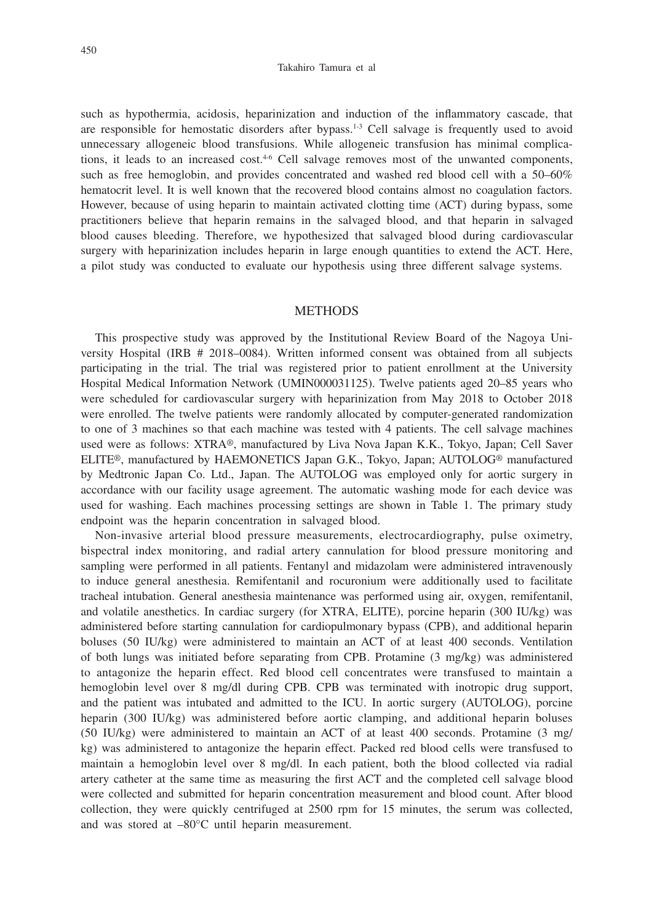#### Takahiro Tamura et al

such as hypothermia, acidosis, heparinization and induction of the inflammatory cascade, that are responsible for hemostatic disorders after bypass.<sup>1-3</sup> Cell salvage is frequently used to avoid unnecessary allogeneic blood transfusions. While allogeneic transfusion has minimal complications, it leads to an increased cost.<sup>4-6</sup> Cell salvage removes most of the unwanted components, such as free hemoglobin, and provides concentrated and washed red blood cell with a 50–60% hematocrit level. It is well known that the recovered blood contains almost no coagulation factors. However, because of using heparin to maintain activated clotting time (ACT) during bypass, some practitioners believe that heparin remains in the salvaged blood, and that heparin in salvaged blood causes bleeding. Therefore, we hypothesized that salvaged blood during cardiovascular surgery with heparinization includes heparin in large enough quantities to extend the ACT. Here, a pilot study was conducted to evaluate our hypothesis using three different salvage systems.

### **METHODS**

This prospective study was approved by the Institutional Review Board of the Nagoya University Hospital (IRB # 2018–0084). Written informed consent was obtained from all subjects participating in the trial. The trial was registered prior to patient enrollment at the University Hospital Medical Information Network (UMIN000031125). Twelve patients aged 20–85 years who were scheduled for cardiovascular surgery with heparinization from May 2018 to October 2018 were enrolled. The twelve patients were randomly allocated by computer-generated randomization to one of 3 machines so that each machine was tested with 4 patients. The cell salvage machines used were as follows: XTRA®, manufactured by Liva Nova Japan K.K., Tokyo, Japan; Cell Saver ELITE®, manufactured by HAEMONETICS Japan G.K., Tokyo, Japan; AUTOLOG® manufactured by Medtronic Japan Co. Ltd., Japan. The AUTOLOG was employed only for aortic surgery in accordance with our facility usage agreement. The automatic washing mode for each device was used for washing. Each machines processing settings are shown in Table 1. The primary study endpoint was the heparin concentration in salvaged blood.

Non-invasive arterial blood pressure measurements, electrocardiography, pulse oximetry, bispectral index monitoring, and radial artery cannulation for blood pressure monitoring and sampling were performed in all patients. Fentanyl and midazolam were administered intravenously to induce general anesthesia. Remifentanil and rocuronium were additionally used to facilitate tracheal intubation. General anesthesia maintenance was performed using air, oxygen, remifentanil, and volatile anesthetics. In cardiac surgery (for XTRA, ELITE), porcine heparin (300 IU/kg) was administered before starting cannulation for cardiopulmonary bypass (CPB), and additional heparin boluses (50 IU/kg) were administered to maintain an ACT of at least 400 seconds. Ventilation of both lungs was initiated before separating from CPB. Protamine (3 mg/kg) was administered to antagonize the heparin effect. Red blood cell concentrates were transfused to maintain a hemoglobin level over 8 mg/dl during CPB. CPB was terminated with inotropic drug support, and the patient was intubated and admitted to the ICU. In aortic surgery (AUTOLOG), porcine heparin (300 IU/kg) was administered before aortic clamping, and additional heparin boluses (50 IU/kg) were administered to maintain an ACT of at least 400 seconds. Protamine (3 mg/ kg) was administered to antagonize the heparin effect. Packed red blood cells were transfused to maintain a hemoglobin level over 8 mg/dl. In each patient, both the blood collected via radial artery catheter at the same time as measuring the first ACT and the completed cell salvage blood were collected and submitted for heparin concentration measurement and blood count. After blood collection, they were quickly centrifuged at 2500 rpm for 15 minutes, the serum was collected, and was stored at –80°C until heparin measurement.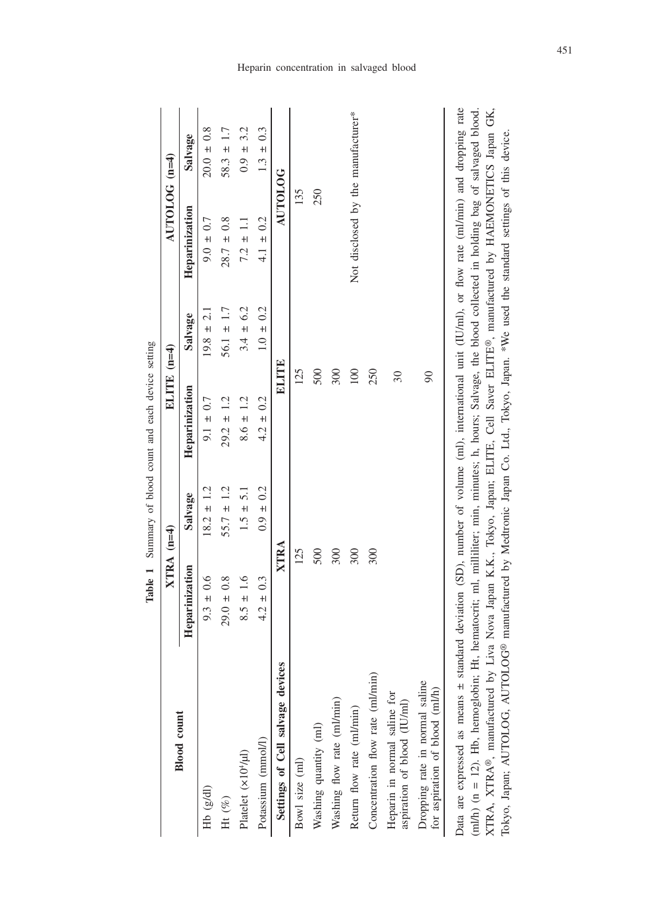|                                                                                                                                                                                                                                                                                                                                                                                                                                                 |                |                | rance 1 Summary of proof community of the seturing |                |                                    |                |
|-------------------------------------------------------------------------------------------------------------------------------------------------------------------------------------------------------------------------------------------------------------------------------------------------------------------------------------------------------------------------------------------------------------------------------------------------|----------------|----------------|----------------------------------------------------|----------------|------------------------------------|----------------|
|                                                                                                                                                                                                                                                                                                                                                                                                                                                 | $XTRA$ (n=4)   |                | ELITE (n=4)                                        |                | $\triangle UTOLOGG$ (n=4)          |                |
| <b>Blood</b> count                                                                                                                                                                                                                                                                                                                                                                                                                              | Heparinization | Salvage        | Heparinization                                     | Salvage        | Heparinization                     | Salvage        |
| Hb (g/dl)                                                                                                                                                                                                                                                                                                                                                                                                                                       | $9.3 \pm 0.6$  | $18.2 \pm 1.2$ | $9.1 \pm 0.7$                                      | $19.8 \pm 2.1$ | $9.0 \pm 0.7$                      | $20.0 \pm 0.8$ |
| Ht $(\%)$                                                                                                                                                                                                                                                                                                                                                                                                                                       | $29.0 \pm 0.8$ | $55.7 \pm 1.2$ | $29.2 \pm 1.2$                                     | $56.1 \pm 1.7$ | $28.7 \pm 0.8$                     | $58.3 \pm 1.7$ |
| Platelet (x10 <sup>4</sup> /µl)                                                                                                                                                                                                                                                                                                                                                                                                                 | $8.5 \pm 1.6$  | $1.5 \pm 5.1$  | $8.6 \pm 1.2$                                      | $3.4 \pm 6.2$  | $7.2 \pm 1.1$                      | $0.9 \pm 3.2$  |
| Potassium (mmol/l)                                                                                                                                                                                                                                                                                                                                                                                                                              | $4.2 \pm 0.3$  | $0.9 \pm 0.2$  | $4.2 \pm 0.2$                                      | $1.0 \pm 0.2$  | $4.1 \pm 0.2$                      | $1.3 \pm 0.3$  |
| Settings of Cell salvage devices                                                                                                                                                                                                                                                                                                                                                                                                                | XTRA           |                | <b>ELITE</b>                                       |                | <b>AUTOLOG</b>                     |                |
| Bowl size (ml)                                                                                                                                                                                                                                                                                                                                                                                                                                  | 125            |                | 125                                                |                | 135                                |                |
| Washing quantity (ml)                                                                                                                                                                                                                                                                                                                                                                                                                           | 500            |                | 500                                                |                | 250                                |                |
| Washing flow rate (ml/min)                                                                                                                                                                                                                                                                                                                                                                                                                      | 300            |                | 300                                                |                |                                    |                |
| Return flow rate (ml/min)                                                                                                                                                                                                                                                                                                                                                                                                                       | 300            |                | 100                                                |                | Not disclosed by the manufacturer* |                |
| Concentration flow rate (ml/min)                                                                                                                                                                                                                                                                                                                                                                                                                | 300            |                | 250                                                |                |                                    |                |
| Heparin in normal saline for<br>aspiration of blood (IU/ml)                                                                                                                                                                                                                                                                                                                                                                                     |                |                | $\overline{\omega}$                                |                |                                    |                |
| Dropping rate in normal saline<br>for aspiration of blood (ml/h)                                                                                                                                                                                                                                                                                                                                                                                |                |                | $\infty$                                           |                |                                    |                |
| Data are expressed as means ± standard deviation (SD), number of volume (ml), international unit (IU/ml), or flow rate (ml/min) and dropping rate<br>(ml/h) (n = 12). Hb, hemoglobin; Ht, hematocrit; ml, millitier; min, minutes; h, hours; Salvage, the blood collected in holding bag of salvaged blood.<br>XTRA, XTRA®, manufactured by Liva Nova Japan K.K., Tokyo, Japan; ELITE, Cell Saver ELITE®, manufactured by HAEMONETICS Japan GK, |                |                |                                                    |                |                                    |                |

**Table 1** Summary of blood count and each device setting **Table 1** Summary of blood count and each device setting Heparin concentration in salvaged blood

451

XTRA, XTRA®, manufactured by Liva Nova Japan K.K., Tokyo, Japan; ELITE, Cell Saver ELITE®, manufactured by HAEMONETICS Japan GK, Tokyo, Japan; AUTOLOG, AUTOLOG® manufactured by Medtronic Japan Co. Ltd., Tokyo, Japan. \*We used the standard settings of this device.

Tokyo, Japan; AUTOLOG, AUTOLOG® manufactured by Medtronic Japan Co. Ltd., Tokyo, Japan. \*We used the standard settings of this device.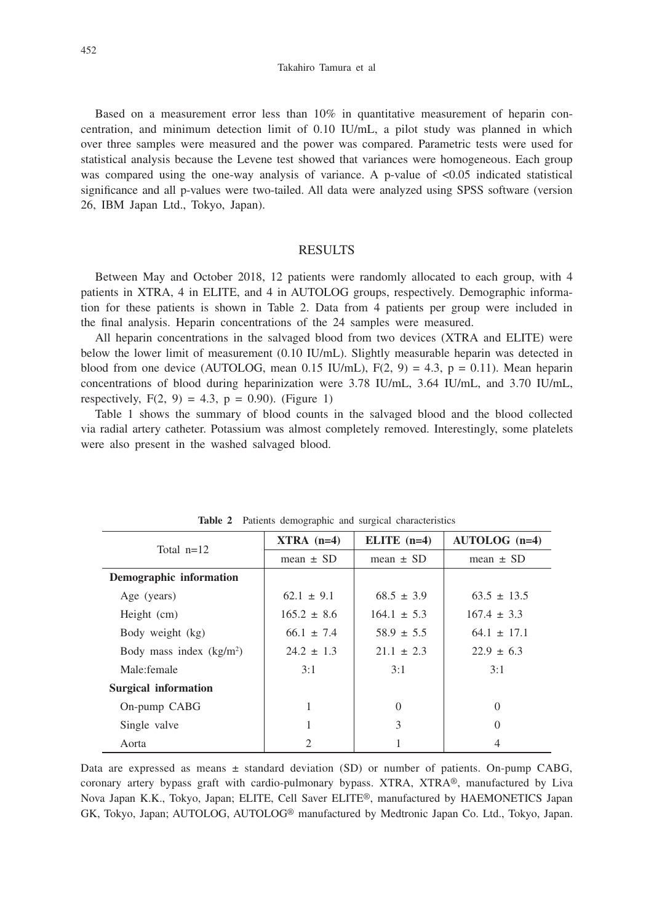Takahiro Tamura et al

Based on a measurement error less than 10% in quantitative measurement of heparin concentration, and minimum detection limit of 0.10 IU/mL, a pilot study was planned in which over three samples were measured and the power was compared. Parametric tests were used for statistical analysis because the Levene test showed that variances were homogeneous. Each group was compared using the one-way analysis of variance. A p-value of  $\lt 0.05$  indicated statistical significance and all p-values were two-tailed. All data were analyzed using SPSS software (version 26, IBM Japan Ltd., Tokyo, Japan).

# RESULTS

Between May and October 2018, 12 patients were randomly allocated to each group, with 4 patients in XTRA, 4 in ELITE, and 4 in AUTOLOG groups, respectively. Demographic information for these patients is shown in Table 2. Data from 4 patients per group were included in the final analysis. Heparin concentrations of the 24 samples were measured.

All heparin concentrations in the salvaged blood from two devices (XTRA and ELITE) were below the lower limit of measurement (0.10 IU/mL). Slightly measurable heparin was detected in blood from one device (AUTOLOG, mean 0.15 IU/mL),  $F(2, 9) = 4.3$ ,  $p = 0.11$ ). Mean heparin concentrations of blood during heparinization were 3.78 IU/mL, 3.64 IU/mL, and 3.70 IU/mL, respectively,  $F(2, 9) = 4.3$ ,  $p = 0.90$ ). (Figure 1)

Table 1 shows the summary of blood counts in the salvaged blood and the blood collected via radial artery catheter. Potassium was almost completely removed. Interestingly, some platelets were also present in the washed salvaged blood.

| Total $n=12$                | $XTRA$ (n=4)    | ELITE $(n=4)$   | $AUTOLOG (n=4)$ |
|-----------------------------|-----------------|-----------------|-----------------|
|                             | mean $\pm$ SD   | mean $\pm$ SD   | mean $\pm$ SD   |
| Demographic information     |                 |                 |                 |
| Age (years)                 | $62.1 \pm 9.1$  | $68.5 \pm 3.9$  | $63.5 \pm 13.5$ |
| Height (cm)                 | $165.2 \pm 8.6$ | $164.1 \pm 5.3$ | $167.4 \pm 3.3$ |
| Body weight (kg)            | $66.1 \pm 7.4$  | $58.9 \pm 5.5$  | $64.1 \pm 17.1$ |
| Body mass index $(kg/m2)$   | $24.2 \pm 1.3$  | $21.1 \pm 2.3$  | $22.9 \pm 6.3$  |
| Male: female                | 3:1             | 3:1             | 3:1             |
| <b>Surgical information</b> |                 |                 |                 |
| On-pump CABG                | 1               | $\Omega$        | $\Omega$        |
| Single valve                | 1               | 3               | $\Omega$        |
| Aorta                       | 2               |                 |                 |

**Table 2** Patients demographic and surgical characteristics

Data are expressed as means  $\pm$  standard deviation (SD) or number of patients. On-pump CABG, coronary artery bypass graft with cardio-pulmonary bypass. XTRA, XTRA®, manufactured by Liva Nova Japan K.K., Tokyo, Japan; ELITE, Cell Saver ELITE®, manufactured by HAEMONETICS Japan GK, Tokyo, Japan; AUTOLOG, AUTOLOG® manufactured by Medtronic Japan Co. Ltd., Tokyo, Japan.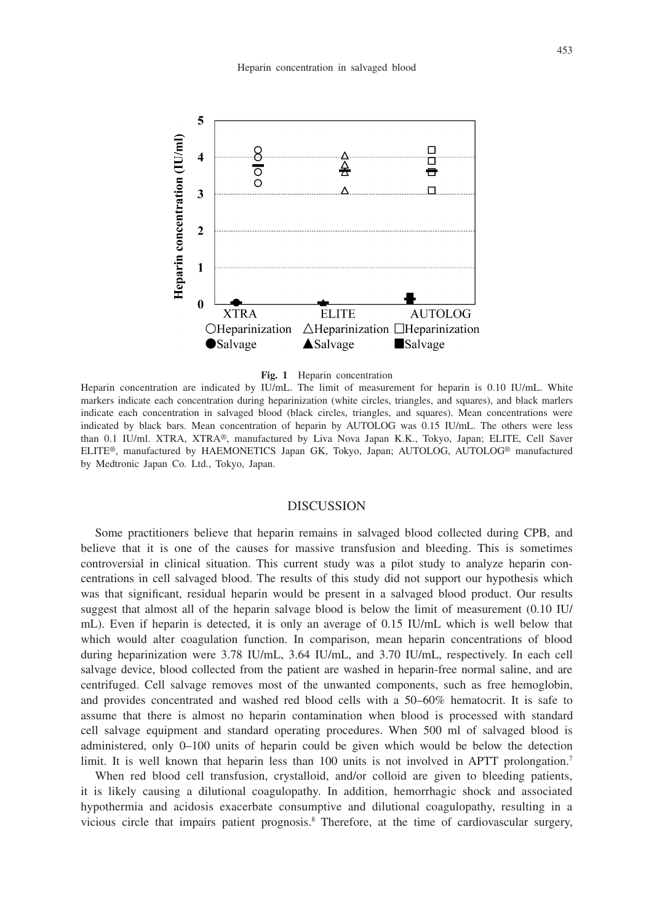

#### **Fig. 1** Heparin concentration

Heparin concentration are indicated by IU/mL. The limit of measurement for heparin is 0.10 IU/mL. White markers indicate each concentration during heparinization (white circles, triangles, and squares), and black marlers indicate each concentration in salvaged blood (black circles, triangles, and squares). Mean concentrations were indicated by black bars. Mean concentration of heparin by AUTOLOG was 0.15 IU/mL. The others were less than 0.1 IU/ml. XTRA, XTRA®, manufactured by Liva Nova Japan K.K., Tokyo, Japan; ELITE, Cell Saver ELITE®, manufactured by HAEMONETICS Japan GK, Tokyo, Japan; AUTOLOG, AUTOLOG® manufactured by Medtronic Japan Co. Ltd., Tokyo, Japan.

#### DISCUSSION

Some practitioners believe that heparin remains in salvaged blood collected during CPB, and believe that it is one of the causes for massive transfusion and bleeding. This is sometimes controversial in clinical situation. This current study was a pilot study to analyze heparin concentrations in cell salvaged blood. The results of this study did not support our hypothesis which was that significant, residual heparin would be present in a salvaged blood product. Our results suggest that almost all of the heparin salvage blood is below the limit of measurement (0.10 IU/ mL). Even if heparin is detected, it is only an average of 0.15 IU/mL which is well below that which would alter coagulation function. In comparison, mean heparin concentrations of blood during heparinization were 3.78 IU/mL, 3.64 IU/mL, and 3.70 IU/mL, respectively. In each cell salvage device, blood collected from the patient are washed in heparin-free normal saline, and are centrifuged. Cell salvage removes most of the unwanted components, such as free hemoglobin, and provides concentrated and washed red blood cells with a 50–60% hematocrit. It is safe to assume that there is almost no heparin contamination when blood is processed with standard cell salvage equipment and standard operating procedures. When 500 ml of salvaged blood is administered, only 0–100 units of heparin could be given which would be below the detection limit. It is well known that heparin less than 100 units is not involved in APTT prolongation.<sup>7</sup>

When red blood cell transfusion, crystalloid, and/or colloid are given to bleeding patients, it is likely causing a dilutional coagulopathy. In addition, hemorrhagic shock and associated hypothermia and acidosis exacerbate consumptive and dilutional coagulopathy, resulting in a vicious circle that impairs patient prognosis.8 Therefore, at the time of cardiovascular surgery,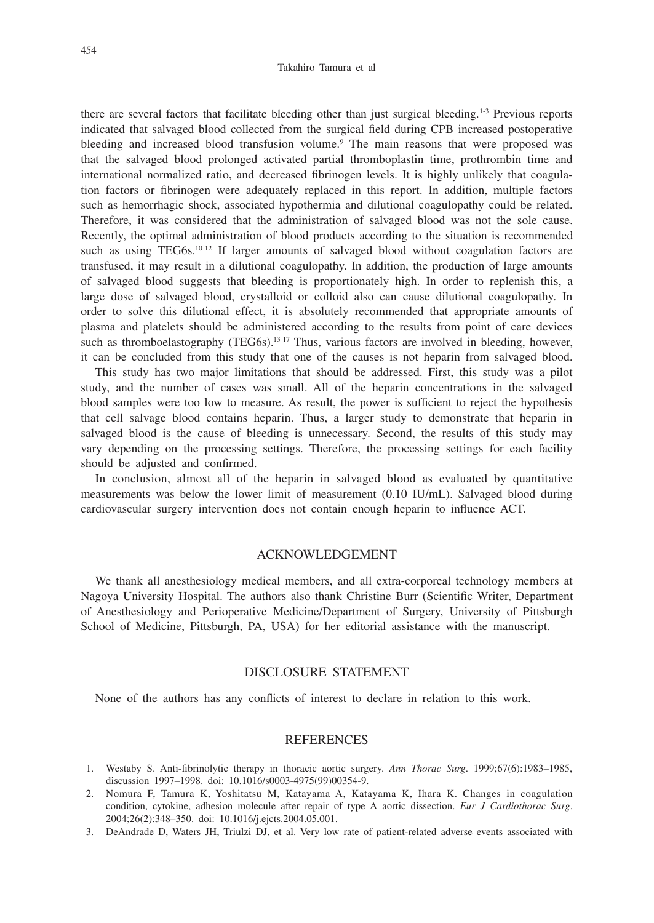#### Takahiro Tamura et al

there are several factors that facilitate bleeding other than just surgical bleeding.1-3 Previous reports indicated that salvaged blood collected from the surgical field during CPB increased postoperative bleeding and increased blood transfusion volume.<sup>9</sup> The main reasons that were proposed was that the salvaged blood prolonged activated partial thromboplastin time, prothrombin time and international normalized ratio, and decreased fibrinogen levels. It is highly unlikely that coagulation factors or fibrinogen were adequately replaced in this report. In addition, multiple factors such as hemorrhagic shock, associated hypothermia and dilutional coagulopathy could be related. Therefore, it was considered that the administration of salvaged blood was not the sole cause. Recently, the optimal administration of blood products according to the situation is recommended such as using TEG6s.<sup>10-12</sup> If larger amounts of salvaged blood without coagulation factors are transfused, it may result in a dilutional coagulopathy. In addition, the production of large amounts of salvaged blood suggests that bleeding is proportionately high. In order to replenish this, a large dose of salvaged blood, crystalloid or colloid also can cause dilutional coagulopathy. In order to solve this dilutional effect, it is absolutely recommended that appropriate amounts of plasma and platelets should be administered according to the results from point of care devices such as thromboelastography (TEG6s).<sup>13-17</sup> Thus, various factors are involved in bleeding, however, it can be concluded from this study that one of the causes is not heparin from salvaged blood.

This study has two major limitations that should be addressed. First, this study was a pilot study, and the number of cases was small. All of the heparin concentrations in the salvaged blood samples were too low to measure. As result, the power is sufficient to reject the hypothesis that cell salvage blood contains heparin. Thus, a larger study to demonstrate that heparin in salvaged blood is the cause of bleeding is unnecessary. Second, the results of this study may vary depending on the processing settings. Therefore, the processing settings for each facility should be adjusted and confirmed.

In conclusion, almost all of the heparin in salvaged blood as evaluated by quantitative measurements was below the lower limit of measurement (0.10 IU/mL). Salvaged blood during cardiovascular surgery intervention does not contain enough heparin to influence ACT.

## ACKNOWLEDGEMENT

We thank all anesthesiology medical members, and all extra-corporeal technology members at Nagoya University Hospital. The authors also thank Christine Burr (Scientific Writer, Department of Anesthesiology and Perioperative Medicine/Department of Surgery, University of Pittsburgh School of Medicine, Pittsburgh, PA, USA) for her editorial assistance with the manuscript.

# DISCLOSURE STATEMENT

None of the authors has any conflicts of interest to declare in relation to this work.

## REFERENCES

- 1. Westaby S. Anti-fibrinolytic therapy in thoracic aortic surgery. *Ann Thorac Surg*. 1999;67(6):1983–1985, discussion 1997–1998. doi: 10.1016/s0003-4975(99)00354-9.
- 2. Nomura F, Tamura K, Yoshitatsu M, Katayama A, Katayama K, Ihara K. Changes in coagulation condition, cytokine, adhesion molecule after repair of type A aortic dissection. *Eur J Cardiothorac Surg*. 2004;26(2):348–350. doi: 10.1016/j.ejcts.2004.05.001.
- 3. DeAndrade D, Waters JH, Triulzi DJ, et al. Very low rate of patient-related adverse events associated with